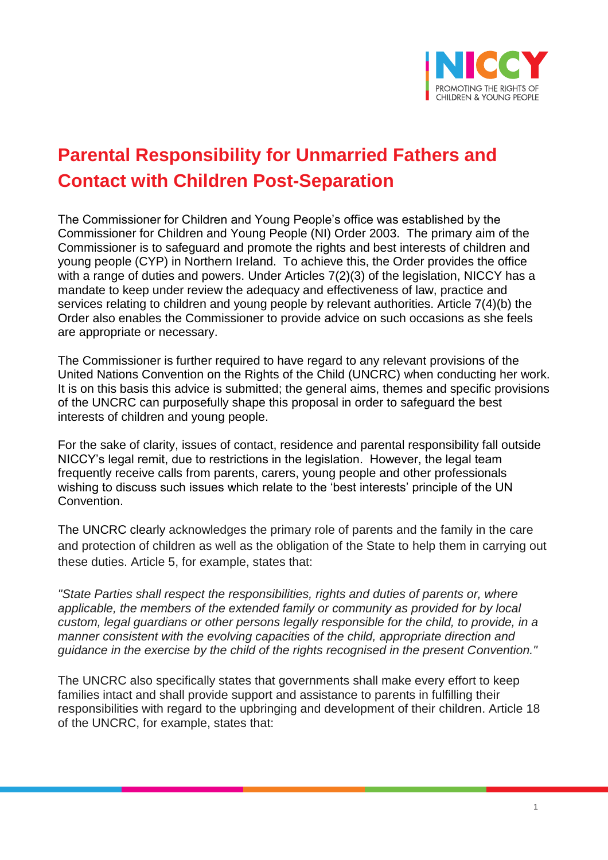

# **Parental Responsibility for Unmarried Fathers and Contact with Children Post-Separation**

The Commissioner for Children and Young People's office was established by the Commissioner for Children and Young People (NI) Order 2003. The primary aim of the Commissioner is to safeguard and promote the rights and best interests of children and young people (CYP) in Northern Ireland. To achieve this, the Order provides the office with a range of duties and powers. Under Articles 7(2)(3) of the legislation, NICCY has a mandate to keep under review the adequacy and effectiveness of law, practice and services relating to children and young people by relevant authorities. Article 7(4)(b) the Order also enables the Commissioner to provide advice on such occasions as she feels are appropriate or necessary.

The Commissioner is further required to have regard to any relevant provisions of the United Nations Convention on the Rights of the Child (UNCRC) when conducting her work. It is on this basis this advice is submitted; the general aims, themes and specific provisions of the UNCRC can purposefully shape this proposal in order to safeguard the best interests of children and young people.

For the sake of clarity, issues of contact, residence and parental responsibility fall outside NICCY's legal remit, due to restrictions in the legislation. However, the legal team frequently receive calls from parents, carers, young people and other professionals wishing to discuss such issues which relate to the 'best interests' principle of the UN Convention.

The UNCRC clearly acknowledges the primary role of parents and the family in the care and protection of children as well as the obligation of the State to help them in carrying out these duties. Article 5, for example, states that:

*"State Parties shall respect the responsibilities, rights and duties of parents or, where applicable, the members of the extended family or community as provided for by local custom, legal guardians or other persons legally responsible for the child, to provide, in a manner consistent with the evolving capacities of the child, appropriate direction and guidance in the exercise by the child of the rights recognised in the present Convention."*

The UNCRC also specifically states that governments shall make every effort to keep families intact and shall provide support and assistance to parents in fulfilling their responsibilities with regard to the upbringing and development of their children. Article 18 of the UNCRC, for example, states that: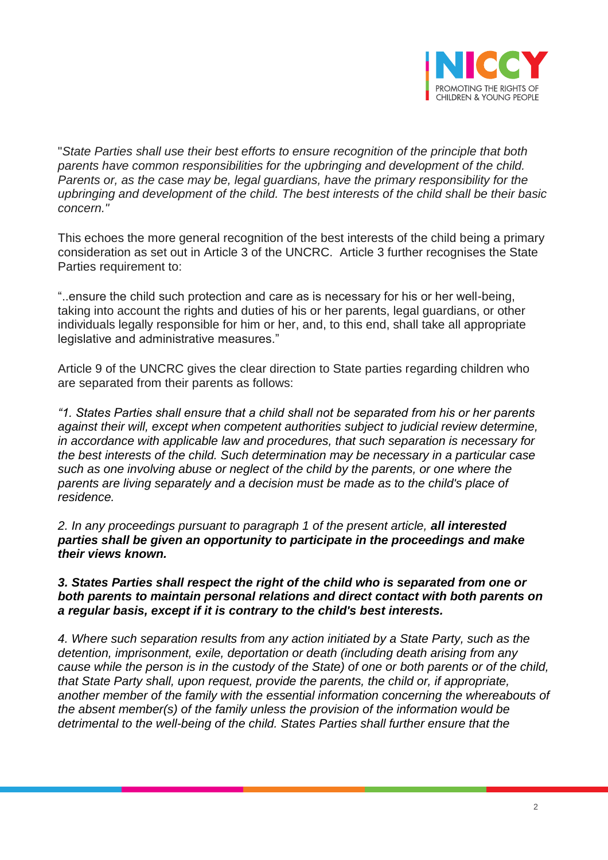

"*State Parties shall use their best efforts to ensure recognition of the principle that both parents have common responsibilities for the upbringing and development of the child. Parents or, as the case may be, legal guardians, have the primary responsibility for the upbringing and development of the child. The best interests of the child shall be their basic concern."*

This echoes the more general recognition of the best interests of the child being a primary consideration as set out in Article 3 of the UNCRC. Article 3 further recognises the State Parties requirement to:

"..ensure the child such protection and care as is necessary for his or her well-being, taking into account the rights and duties of his or her parents, legal guardians, or other individuals legally responsible for him or her, and, to this end, shall take all appropriate legislative and administrative measures."

Article 9 of the UNCRC gives the clear direction to State parties regarding children who are separated from their parents as follows:

*"1. States Parties shall ensure that a child shall not be separated from his or her parents against their will, except when competent authorities subject to judicial review determine, in accordance with applicable law and procedures, that such separation is necessary for the best interests of the child. Such determination may be necessary in a particular case such as one involving abuse or neglect of the child by the parents, or one where the parents are living separately and a decision must be made as to the child's place of residence.* 

*2. In any proceedings pursuant to paragraph 1 of the present article, all interested parties shall be given an opportunity to participate in the proceedings and make their views known.* 

*3. States Parties shall respect the right of the child who is separated from one or both parents to maintain personal relations and direct contact with both parents on a regular basis, except if it is contrary to the child's best interests.* 

*4. Where such separation results from any action initiated by a State Party, such as the detention, imprisonment, exile, deportation or death (including death arising from any cause while the person is in the custody of the State) of one or both parents or of the child, that State Party shall, upon request, provide the parents, the child or, if appropriate, another member of the family with the essential information concerning the whereabouts of the absent member(s) of the family unless the provision of the information would be detrimental to the well-being of the child. States Parties shall further ensure that the*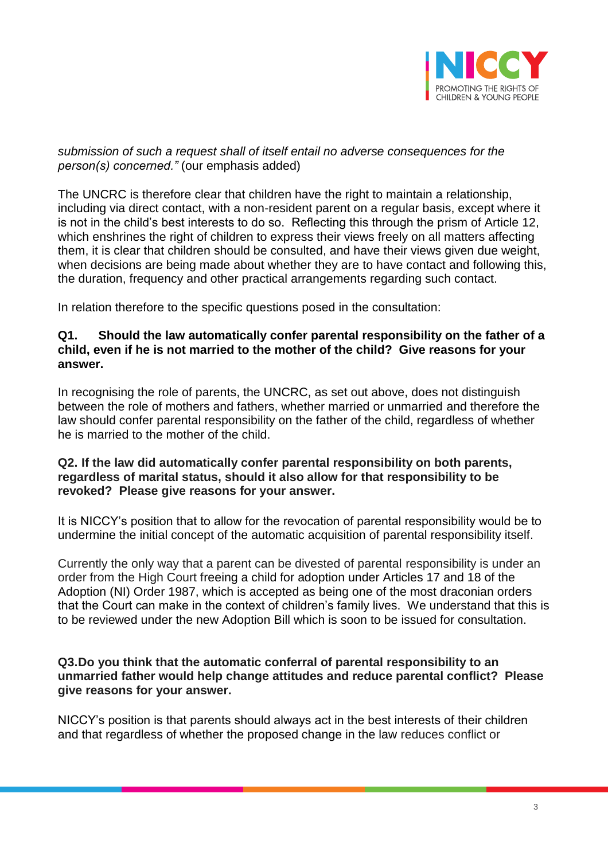

## *submission of such a request shall of itself entail no adverse consequences for the person(s) concerned."* (our emphasis added)

The UNCRC is therefore clear that children have the right to maintain a relationship, including via direct contact, with a non-resident parent on a regular basis, except where it is not in the child's best interests to do so. Reflecting this through the prism of Article 12, which enshrines the right of children to express their views freely on all matters affecting them, it is clear that children should be consulted, and have their views given due weight, when decisions are being made about whether they are to have contact and following this, the duration, frequency and other practical arrangements regarding such contact.

In relation therefore to the specific questions posed in the consultation:

## **Q1. Should the law automatically confer parental responsibility on the father of a child, even if he is not married to the mother of the child? Give reasons for your answer.**

In recognising the role of parents, the UNCRC, as set out above, does not distinguish between the role of mothers and fathers, whether married or unmarried and therefore the law should confer parental responsibility on the father of the child, regardless of whether he is married to the mother of the child.

### **Q2. If the law did automatically confer parental responsibility on both parents, regardless of marital status, should it also allow for that responsibility to be revoked? Please give reasons for your answer.**

It is NICCY's position that to allow for the revocation of parental responsibility would be to undermine the initial concept of the automatic acquisition of parental responsibility itself.

Currently the only way that a parent can be divested of parental responsibility is under an order from the High Court freeing a child for adoption under Articles 17 and 18 of the Adoption (NI) Order 1987, which is accepted as being one of the most draconian orders that the Court can make in the context of children's family lives. We understand that this is to be reviewed under the new Adoption Bill which is soon to be issued for consultation.

### **Q3.Do you think that the automatic conferral of parental responsibility to an unmarried father would help change attitudes and reduce parental conflict? Please give reasons for your answer.**

NICCY's position is that parents should always act in the best interests of their children and that regardless of whether the proposed change in the law reduces conflict or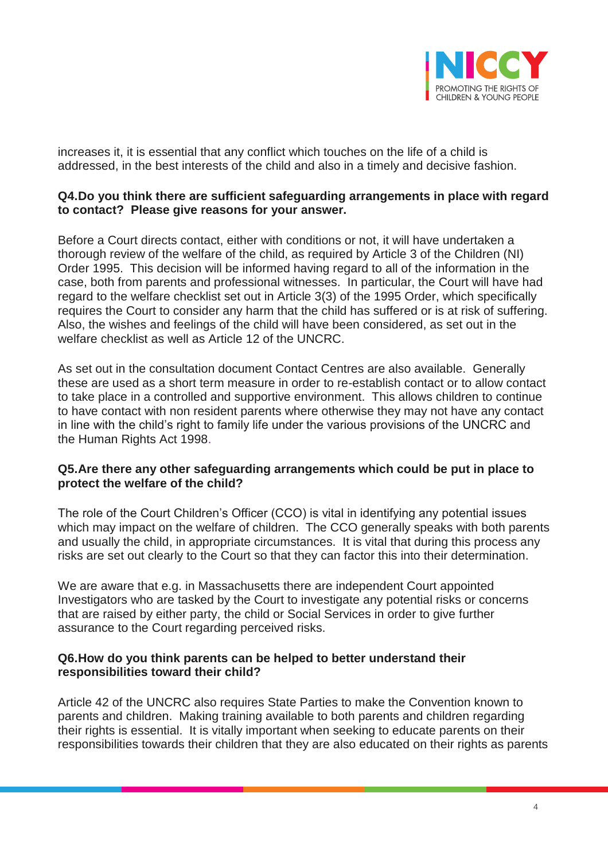

increases it, it is essential that any conflict which touches on the life of a child is addressed, in the best interests of the child and also in a timely and decisive fashion.

## **Q4.Do you think there are sufficient safeguarding arrangements in place with regard to contact? Please give reasons for your answer.**

Before a Court directs contact, either with conditions or not, it will have undertaken a thorough review of the welfare of the child, as required by Article 3 of the Children (NI) Order 1995. This decision will be informed having regard to all of the information in the case, both from parents and professional witnesses. In particular, the Court will have had regard to the welfare checklist set out in Article 3(3) of the 1995 Order, which specifically requires the Court to consider any harm that the child has suffered or is at risk of suffering. Also, the wishes and feelings of the child will have been considered, as set out in the welfare checklist as well as Article 12 of the UNCRC.

As set out in the consultation document Contact Centres are also available. Generally these are used as a short term measure in order to re-establish contact or to allow contact to take place in a controlled and supportive environment. This allows children to continue to have contact with non resident parents where otherwise they may not have any contact in line with the child's right to family life under the various provisions of the UNCRC and the Human Rights Act 1998.

## **Q5.Are there any other safeguarding arrangements which could be put in place to protect the welfare of the child?**

The role of the Court Children's Officer (CCO) is vital in identifying any potential issues which may impact on the welfare of children. The CCO generally speaks with both parents and usually the child, in appropriate circumstances. It is vital that during this process any risks are set out clearly to the Court so that they can factor this into their determination.

We are aware that e.g. in Massachusetts there are independent Court appointed Investigators who are tasked by the Court to investigate any potential risks or concerns that are raised by either party, the child or Social Services in order to give further assurance to the Court regarding perceived risks.

## **Q6.How do you think parents can be helped to better understand their responsibilities toward their child?**

Article 42 of the UNCRC also requires State Parties to make the Convention known to parents and children. Making training available to both parents and children regarding their rights is essential. It is vitally important when seeking to educate parents on their responsibilities towards their children that they are also educated on their rights as parents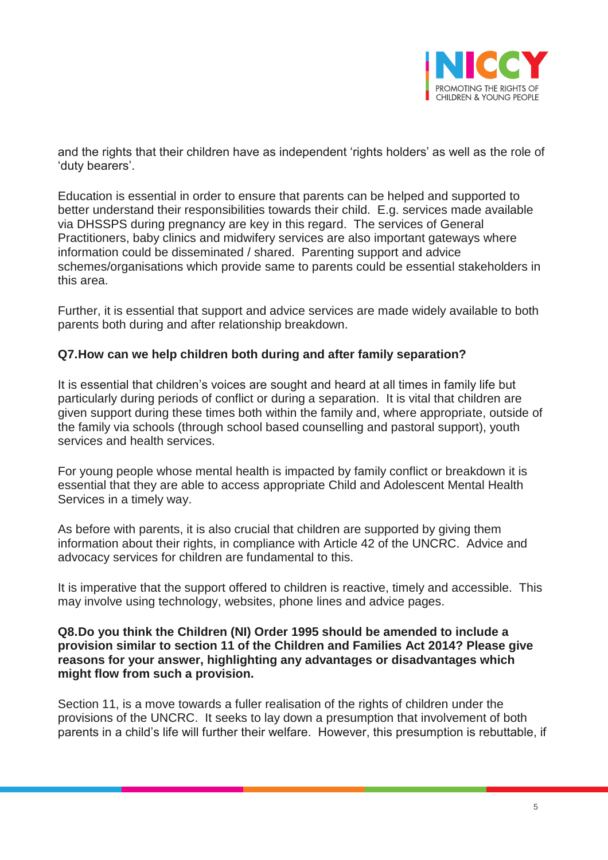

and the rights that their children have as independent 'rights holders' as well as the role of 'duty bearers'.

Education is essential in order to ensure that parents can be helped and supported to better understand their responsibilities towards their child. E.g. services made available via DHSSPS during pregnancy are key in this regard. The services of General Practitioners, baby clinics and midwifery services are also important gateways where information could be disseminated / shared. Parenting support and advice schemes/organisations which provide same to parents could be essential stakeholders in this area.

Further, it is essential that support and advice services are made widely available to both parents both during and after relationship breakdown.

# **Q7.How can we help children both during and after family separation?**

It is essential that children's voices are sought and heard at all times in family life but particularly during periods of conflict or during a separation. It is vital that children are given support during these times both within the family and, where appropriate, outside of the family via schools (through school based counselling and pastoral support), youth services and health services.

For young people whose mental health is impacted by family conflict or breakdown it is essential that they are able to access appropriate Child and Adolescent Mental Health Services in a timely way.

As before with parents, it is also crucial that children are supported by giving them information about their rights, in compliance with Article 42 of the UNCRC. Advice and advocacy services for children are fundamental to this.

It is imperative that the support offered to children is reactive, timely and accessible. This may involve using technology, websites, phone lines and advice pages.

## **Q8.Do you think the Children (NI) Order 1995 should be amended to include a provision similar to section 11 of the Children and Families Act 2014? Please give reasons for your answer, highlighting any advantages or disadvantages which might flow from such a provision.**

Section 11, is a move towards a fuller realisation of the rights of children under the provisions of the UNCRC. It seeks to lay down a presumption that involvement of both parents in a child's life will further their welfare. However, this presumption is rebuttable, if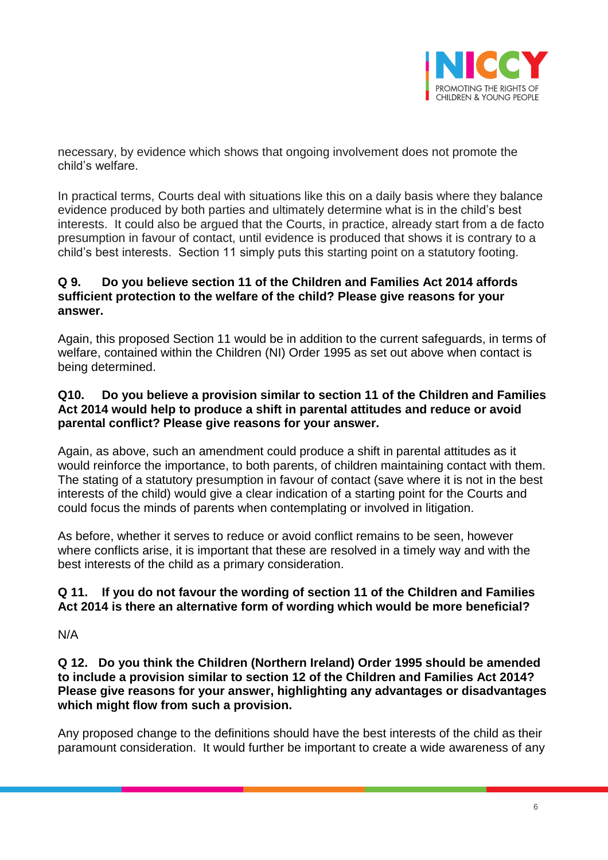

necessary, by evidence which shows that ongoing involvement does not promote the child's welfare.

In practical terms, Courts deal with situations like this on a daily basis where they balance evidence produced by both parties and ultimately determine what is in the child's best interests. It could also be argued that the Courts, in practice, already start from a de facto presumption in favour of contact, until evidence is produced that shows it is contrary to a child's best interests. Section 11 simply puts this starting point on a statutory footing.

# **Q 9. Do you believe section 11 of the Children and Families Act 2014 affords sufficient protection to the welfare of the child? Please give reasons for your answer.**

Again, this proposed Section 11 would be in addition to the current safeguards, in terms of welfare, contained within the Children (NI) Order 1995 as set out above when contact is being determined.

## **Q10. Do you believe a provision similar to section 11 of the Children and Families Act 2014 would help to produce a shift in parental attitudes and reduce or avoid parental conflict? Please give reasons for your answer.**

Again, as above, such an amendment could produce a shift in parental attitudes as it would reinforce the importance, to both parents, of children maintaining contact with them. The stating of a statutory presumption in favour of contact (save where it is not in the best interests of the child) would give a clear indication of a starting point for the Courts and could focus the minds of parents when contemplating or involved in litigation.

As before, whether it serves to reduce or avoid conflict remains to be seen, however where conflicts arise, it is important that these are resolved in a timely way and with the best interests of the child as a primary consideration.

# **Q 11. If you do not favour the wording of section 11 of the Children and Families Act 2014 is there an alternative form of wording which would be more beneficial?**

N/A

**Q 12. Do you think the Children (Northern Ireland) Order 1995 should be amended to include a provision similar to section 12 of the Children and Families Act 2014? Please give reasons for your answer, highlighting any advantages or disadvantages which might flow from such a provision.**

Any proposed change to the definitions should have the best interests of the child as their paramount consideration. It would further be important to create a wide awareness of any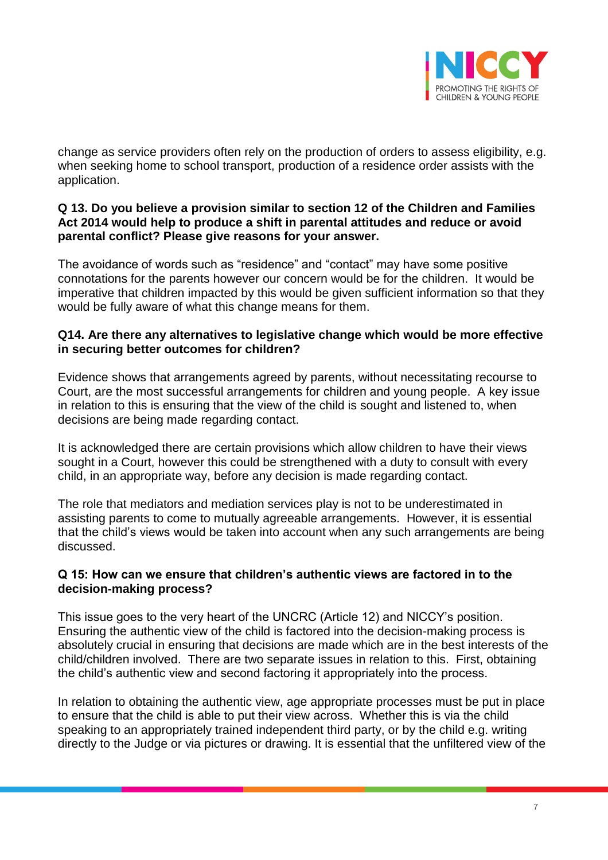

change as service providers often rely on the production of orders to assess eligibility, e.g. when seeking home to school transport, production of a residence order assists with the application.

# **Q 13. Do you believe a provision similar to section 12 of the Children and Families Act 2014 would help to produce a shift in parental attitudes and reduce or avoid parental conflict? Please give reasons for your answer.**

The avoidance of words such as "residence" and "contact" may have some positive connotations for the parents however our concern would be for the children. It would be imperative that children impacted by this would be given sufficient information so that they would be fully aware of what this change means for them.

## **Q14. Are there any alternatives to legislative change which would be more effective in securing better outcomes for children?**

Evidence shows that arrangements agreed by parents, without necessitating recourse to Court, are the most successful arrangements for children and young people. A key issue in relation to this is ensuring that the view of the child is sought and listened to, when decisions are being made regarding contact.

It is acknowledged there are certain provisions which allow children to have their views sought in a Court, however this could be strengthened with a duty to consult with every child, in an appropriate way, before any decision is made regarding contact.

The role that mediators and mediation services play is not to be underestimated in assisting parents to come to mutually agreeable arrangements. However, it is essential that the child's views would be taken into account when any such arrangements are being discussed.

## **Q 15: How can we ensure that children's authentic views are factored in to the decision-making process?**

This issue goes to the very heart of the UNCRC (Article 12) and NICCY's position. Ensuring the authentic view of the child is factored into the decision-making process is absolutely crucial in ensuring that decisions are made which are in the best interests of the child/children involved. There are two separate issues in relation to this. First, obtaining the child's authentic view and second factoring it appropriately into the process.

In relation to obtaining the authentic view, age appropriate processes must be put in place to ensure that the child is able to put their view across. Whether this is via the child speaking to an appropriately trained independent third party, or by the child e.g. writing directly to the Judge or via pictures or drawing. It is essential that the unfiltered view of the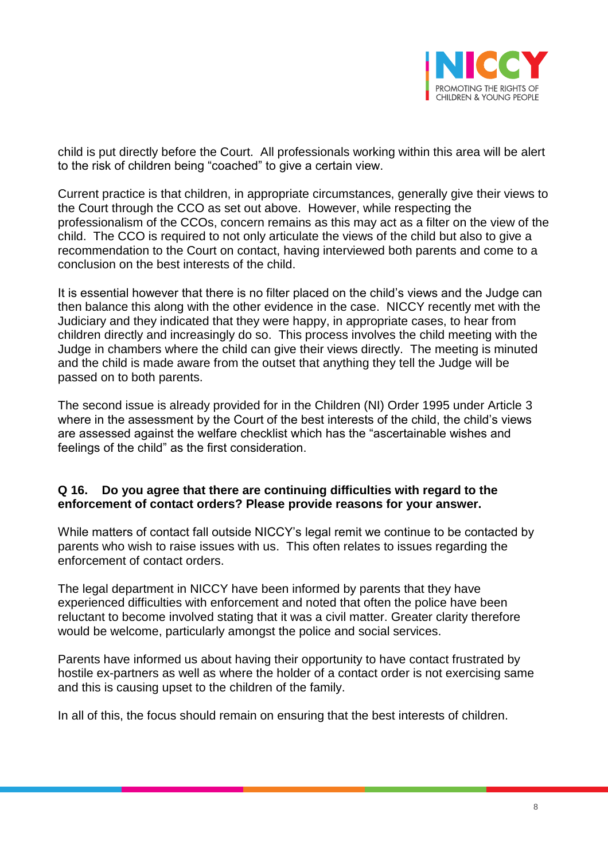

child is put directly before the Court. All professionals working within this area will be alert to the risk of children being "coached" to give a certain view.

Current practice is that children, in appropriate circumstances, generally give their views to the Court through the CCO as set out above. However, while respecting the professionalism of the CCOs, concern remains as this may act as a filter on the view of the child. The CCO is required to not only articulate the views of the child but also to give a recommendation to the Court on contact, having interviewed both parents and come to a conclusion on the best interests of the child.

It is essential however that there is no filter placed on the child's views and the Judge can then balance this along with the other evidence in the case. NICCY recently met with the Judiciary and they indicated that they were happy, in appropriate cases, to hear from children directly and increasingly do so. This process involves the child meeting with the Judge in chambers where the child can give their views directly. The meeting is minuted and the child is made aware from the outset that anything they tell the Judge will be passed on to both parents.

The second issue is already provided for in the Children (NI) Order 1995 under Article 3 where in the assessment by the Court of the best interests of the child, the child's views are assessed against the welfare checklist which has the "ascertainable wishes and feelings of the child" as the first consideration.

## **Q 16. Do you agree that there are continuing difficulties with regard to the enforcement of contact orders? Please provide reasons for your answer.**

While matters of contact fall outside NICCY's legal remit we continue to be contacted by parents who wish to raise issues with us. This often relates to issues regarding the enforcement of contact orders.

The legal department in NICCY have been informed by parents that they have experienced difficulties with enforcement and noted that often the police have been reluctant to become involved stating that it was a civil matter. Greater clarity therefore would be welcome, particularly amongst the police and social services.

Parents have informed us about having their opportunity to have contact frustrated by hostile ex-partners as well as where the holder of a contact order is not exercising same and this is causing upset to the children of the family.

In all of this, the focus should remain on ensuring that the best interests of children.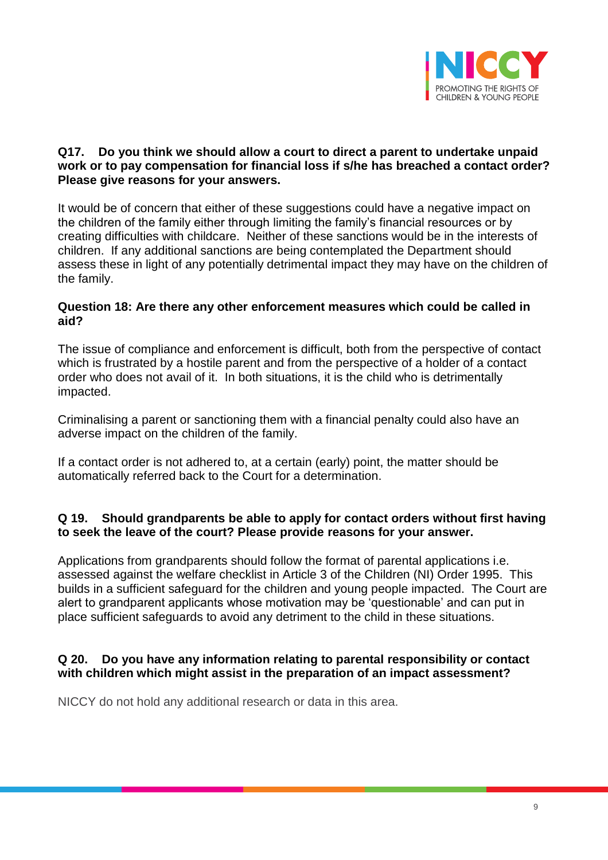

## **Q17. Do you think we should allow a court to direct a parent to undertake unpaid work or to pay compensation for financial loss if s/he has breached a contact order? Please give reasons for your answers.**

It would be of concern that either of these suggestions could have a negative impact on the children of the family either through limiting the family's financial resources or by creating difficulties with childcare. Neither of these sanctions would be in the interests of children. If any additional sanctions are being contemplated the Department should assess these in light of any potentially detrimental impact they may have on the children of the family.

## **Question 18: Are there any other enforcement measures which could be called in aid?**

The issue of compliance and enforcement is difficult, both from the perspective of contact which is frustrated by a hostile parent and from the perspective of a holder of a contact order who does not avail of it. In both situations, it is the child who is detrimentally impacted.

Criminalising a parent or sanctioning them with a financial penalty could also have an adverse impact on the children of the family.

If a contact order is not adhered to, at a certain (early) point, the matter should be automatically referred back to the Court for a determination.

# **Q 19. Should grandparents be able to apply for contact orders without first having to seek the leave of the court? Please provide reasons for your answer.**

Applications from grandparents should follow the format of parental applications i.e. assessed against the welfare checklist in Article 3 of the Children (NI) Order 1995. This builds in a sufficient safeguard for the children and young people impacted. The Court are alert to grandparent applicants whose motivation may be 'questionable' and can put in place sufficient safeguards to avoid any detriment to the child in these situations.

# **Q 20. Do you have any information relating to parental responsibility or contact with children which might assist in the preparation of an impact assessment?**

NICCY do not hold any additional research or data in this area.